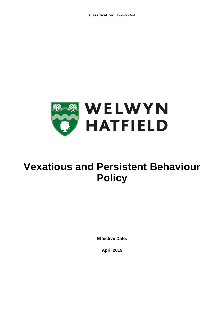**Classification:** Unrestricted



# **Vexatious and Persistent Behaviour Policy**

**Effective Date:** 

**April 2019**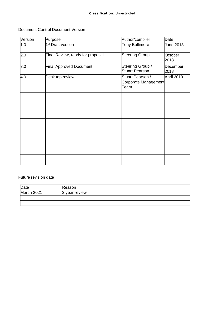## Document Control Document Version

| Version<br>Purpose                   |                                  | Author/compiler                                  | Date             |  |
|--------------------------------------|----------------------------------|--------------------------------------------------|------------------|--|
| 1 <sup>st</sup> Draft version<br>1.0 |                                  | <b>Tony Bullimore</b>                            | June 2018        |  |
| 2.0                                  | Final Review, ready for proposal | <b>Steering Group</b>                            | October<br>2018  |  |
| 3.0                                  | <b>Final Approved Document</b>   | Steering Group /<br><b>Stuart Pearson</b>        | December<br>2018 |  |
| 4.0                                  | Desk top review                  | Stuart Pearson /<br>Corporate Management<br>Team | April 2019       |  |
|                                      |                                  |                                                  |                  |  |
|                                      |                                  |                                                  |                  |  |
|                                      |                                  |                                                  |                  |  |
|                                      |                                  |                                                  |                  |  |
|                                      |                                  |                                                  |                  |  |
|                                      |                                  |                                                  |                  |  |

# Future revision date

| Date       | Reason        |  |
|------------|---------------|--|
| March 2021 | 3 year review |  |
|            |               |  |
|            |               |  |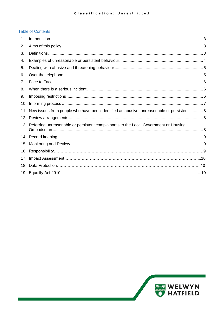# **Table of Contents**

| 1.  |                                                                                               |  |
|-----|-----------------------------------------------------------------------------------------------|--|
| 2.  |                                                                                               |  |
| 3.  |                                                                                               |  |
| 4.  |                                                                                               |  |
| 5.  |                                                                                               |  |
| 6.  |                                                                                               |  |
| 7.  |                                                                                               |  |
| 8.  |                                                                                               |  |
| 9.  |                                                                                               |  |
| 10. |                                                                                               |  |
|     | 11. New issues from people who have been identified as abusive, unreasonable or persistent  8 |  |
|     |                                                                                               |  |
|     | 13. Referring unreasonable or persistent complainants to the Local Government or Housing      |  |
|     |                                                                                               |  |
|     |                                                                                               |  |
|     |                                                                                               |  |
| 17. |                                                                                               |  |
| 18. |                                                                                               |  |
|     |                                                                                               |  |

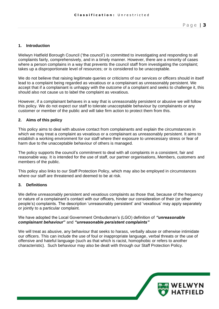#### <span id="page-3-0"></span>**1. Introduction**

 Welwyn Hatfield Borough Council ('the council') is committed to investigating and responding to all complaints fairly, comprehensively, and in a timely manner. However, there are a minority of cases where a person complains in a way that prevents the council staff from investigating the complaint; takes up a disproportionate level of resources; or is considered to be unacceptable.

 We do not believe that raising legitimate queries or criticisms of our services or officers should in itself lead to a complaint being regarded as vexatious or a complainant as unreasonably persistent. We accept that if a complainant is unhappy with the outcome of a complaint and seeks to challenge it, this should also not cause us to label the complaint as vexatious.

 However, if a complainant behaves in a way that is unreasonably persistent or abusive we will follow this policy. We do not expect our staff to tolerate unacceptable behaviour by complainants or any customer or member of the public and will take firm action to protect them from this.

#### <span id="page-3-1"></span>**2. Aims of this policy**

 This policy aims to deal with abusive contact from complainants and explain the circumstances in which we may treat a complaint as vexatious or a complainant as unreasonably persistent. It aims to establish a working environment for our staff where their exposure to unnecessary stress or fear of harm due to the unacceptable behaviour of others is managed.

 The policy supports the council's commitment to deal with all complaints in a consistent, fair and reasonable way. It is intended for the use of staff, our partner organisations, Members, customers and members of the public.

 This policy also links to our Staff Protection Policy, which may also be employed in circumstances where our staff are threatened and deemed to be at risk.

#### <span id="page-3-2"></span>**3. Definitions**

 We define unreasonably persistent and vexatious complaints as those that, because of the frequency or nature of a complainant's contact with our officers, hinder our consideration of their (or other people's) complaints. The description 'unreasonably persistent' and 'vexatious' may apply separately or jointly to a particular complaint.

#### We have adopted the Local Government Ombudsman's (LGO) definition of *"unreasonable complainant behaviour***"** and *"unreasonable persistent complaints"*

 We will treat as abusive, any behaviour that seeks to harass, verbally abuse or otherwise intimidate our officers. This can include the use of foul or inappropriate language, verbal threats or the use of offensive and hateful language (such as that which is racist, homophobic or refers to another characteristic). Such behaviour may also be dealt with through our Staff Protection Policy.

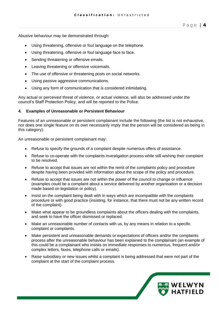Abusive behaviour may be demonstrated through:

- Using threatening, offensive or foul language on the telephone.
- Using threatening, offensive or foul language face to face.
- Sending threatening or offensive emails.
- Leaving threatening or offensive voicemails.
- The use of offensive or threatening posts on social networks.
- Using passive aggressive communications.
- Using any form of communication that is considered intimidating.

 Any actual or perceived threat of violence, or actual violence, will also be addressed under the council's Staff Protection Policy, and will be reported to the Police.

#### <span id="page-4-0"></span>**4. Examples of Unreasonable or Persistent Behaviour**

 Features of an unreasonable or persistent complainant include the following (the list is not exhaustive, nor does one single feature on its own necessarily imply that the person will be considered as being in this category).

An unreasonable or persistent complainant may:

- Refuse to specify the grounds of a complaint despite numerous offers of assistance.
- • Refuse to co-operate with the complaints investigation process while still wishing their complaint to be resolved.
- • Refuse to accept that issues are not within the remit of the complaints policy and procedure despite having been provided with information about the scope of the policy and procedure.
- • Refuse to accept that issues are not within the power of the council to change or influence (examples could be a complaint about a service delivered by another organisation or a decision made based on legislation or policy).
- • Insist on the complaint being dealt with in ways which are incompatible with the complaints procedure or with good practice (insisting, for instance, that there must not be any written record of the complaint).
- • Make what appear to be groundless complaints about the officers dealing with the complaints, and seek to have the officer dismissed or replaced.
- • Make an unreasonable number of contacts with us, by any means in relation to a specific complaint or complaints.
- • Make persistent and unreasonable demands or expectations of officers and/or the complaints process after the unreasonable behaviour has been explained to the complainant (an example of this could be a complainant who insists on immediate responses to numerous, frequent and/or complex letters, faxes, telephone calls or emails).
- • Raise subsidiary or new issues whilst a complaint is being addressed that were not part of the complaint at the start of the complaint process.

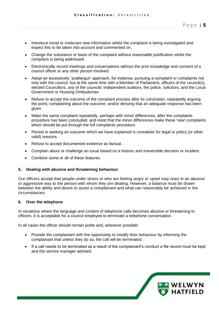- • Introduce trivial or irrelevant new information whilst the complaint is being investigated and expect this to be taken into account and commented on.
- • Change the substance or basis of the complaint without reasonable justification whilst the complaint is being addressed.
- • Electronically record meetings and conversations without the prior knowledge and consent of a council officer or any other person involved.
- • Adopt an excessively 'scattergun' approach, for instance, pursuing a complaint or complaints not only with the council, but at the same time with a Member of Parliament, officers of the council(s), elected Councillors, any of the councils' independent auditors, the police, solicitors, and the Local Government or Housing Ombudsman.
- • Refuse to accept the outcome of the complaint process after its conclusion, repeatedly arguing the point, complaining about the outcome, and/or denying that an adequate response has been given.
- • Make the same complaint repeatedly, perhaps with minor differences, after the complaints procedure has been concluded, and insist that the minor differences make these 'new' complaints which should be put through the full complaints procedure.
- • Persist in seeking an outcome which we have explained is unrealistic for legal or policy (or other valid) reasons.
- Refuse to accept documented evidence as factual.
- Complain about or challenge an issue based on a historic and irreversible decision or incident.
- Combine some or all of these features.

### <span id="page-5-0"></span>**5. Dealing with abusive and threatening behaviour**

 Our officers accept that people under stress or who are feeling angry or upset may react in an abusive or aggressive way to the person with whom they are dealing. However, a balance must be drawn between the ability and desire to assist a complainant and what can reasonably be achieved in the circumstances.

### <span id="page-5-1"></span>**6. Over the telephone**

 In situations where the language and content of telephone calls becomes abusive or threatening to officers, it is acceptable for a council employee to terminate a telephone conversation.

In all cases the officer should remain polite and, wherever possible:

- • Provide the complainant with the opportunity to modify their behaviour by informing the complainant that unless they do so, the call will be terminated.
- <span id="page-5-2"></span> • If a call needs to be terminated as a result of the complainant's conduct a file record must be kept and the service manager advised.

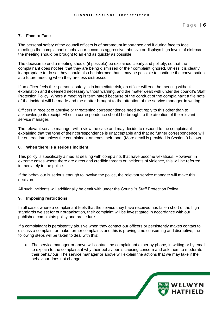#### **7. Face to Face**

 The personal safety of the council officers is of paramount importance and if during face to face meetings the complainant's behaviour becomes aggressive, abusive or displays high levels of distress the meeting should be brought to an end as quickly as possible.

 The decision to end a meeting should (if possible) be explained clearly and politely, so that the complainant does not feel that they are being dismissed or their complaint ignored. Unless it is clearly inappropriate to do so, they should also be informed that it may be possible to continue the conversation at a future meeting when they are less distressed.

 If an officer feels their personal safety is in immediate risk, an officer will end the meeting without explanation and if deemed necessary without warning, and the matter dealt with under the council's Staff Protection Policy. Where a meeting is terminated because of the conduct of the complainant a file note of the incident will be made and the matter brought to the attention of the service manager in writing**.** 

 Officers in receipt of abusive or threatening correspondence need not reply to this other than to acknowledge its receipt. All such correspondence should be brought to the attention of the relevant service manager.

 The relevant service manager will review the case and may decide to respond to the complainant explaining that the tone of their correspondence is unacceptable and that no further correspondence will be entered into unless the complainant amends their tone. (More detail is provided in Section 9 below).

#### <span id="page-6-0"></span>**8. When there is a serious incident**

 This policy is specifically aimed at dealing with complaints that have become vexatious. However, in extreme cases where there are direct and credible threats or incidents of violence, this will be referred immediately to the police.

 If the behaviour is serious enough to involve the police, the relevant service manager will make this decision.

All such incidents will additionally be dealt with under the Council's Staff Protection Policy.

#### <span id="page-6-1"></span>**9. Imposing restrictions**

 In all cases where a complainant feels that the service they have received has fallen short of the high standards we set for our organisation, their complaint will be investigated in accordance with our published complaints policy and procedure.

 If a complainant is persistently abusive when they contact our officers or persistently makes contact to discuss a complaint or make further complaints and this is proving time consuming and disruptive, the following steps will be taken to deal with this:

 • The service manager or above will contact the complainant either by phone, in writing or by email to explain to the complainant why their behaviour is causing concern and ask them to moderate their behaviour. The service manager or above will explain the actions that we may take if the behaviour does not change.

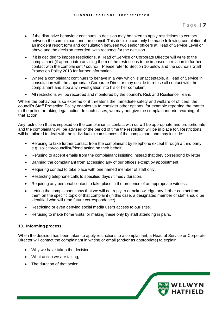- • If the disruptive behaviour continues, a decision may be taken to apply restrictions to contact between the complainant and the council. This decision can only be made following completion of an incident report form and consultation between two senior officers at Head of Service Level or above and the decision recorded, with reason/s for the decision.
- • If it is decided to impose restrictions, a Head of Service or Corporate Director will write to the complainant (if appropriate) advising them of the restrictions to be imposed in relation to further contact with the complainant / council. Please refer to Section 10 below and the council's Staff Protection Policy 2018 for further information.
- • Where a complainant continues to behave in a way which is unacceptable, a Head of Service in consultation with the appropriate Corporate Director may decide to refuse all contact with the complainant and stop any investigation into his or her complaint.
- All restrictions will be recorded and monitored by the council's Risk and Resilience Team.

 Where the behaviour is so extreme or it threatens the immediate safety and welfare of officers, the council's Staff Protection Policy enables us to consider other options, for example reporting the matter to the police or taking legal action. In such cases, we may not give the complainant prior warning of that action.

 Any restriction that is imposed on the complainant's contact with us will be appropriate and proportionate and the complainant will be advised of the period of time the restriction will be in place for. Restrictions will be tailored to deal with the individual circumstances of the complainant and may include:

- • Refusing to take further contact from the complainant by telephone except through a third party e.g. solicitor/councillor/friend acting on their behalf.
- Refusing to accept emails from the complainant insisting instead that they correspond by letter.
- Banning the complainant from accessing any of our offices except by appointment.
- Requiring contact to take place with one named member of staff only.
- Restricting telephone calls to specified days / times / duration.
- Requiring any personal contact to take place in the presence of an appropriate witness.
- • Letting the complainant know that we will not reply to or acknowledge any further contact from them on the specific topic of that complaint (in this case, a designated member of staff should be identified who will read future correspondence).
- Restricting or even denying social media users access to our sites.
- Refusing to make home visits, or making these only by staff attending in pairs.

#### <span id="page-7-0"></span>**10. Informing process**

 When the decision has been taken to apply restrictions to a complainant, a Head of Service or Corporate Director will contact the complainant in writing or email (and/or as appropriate) to explain:

- Why we have taken the decision,
- What action we are taking,
- The duration of that action,

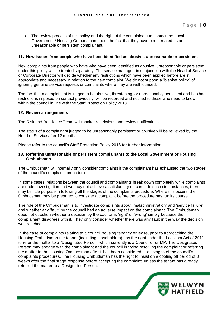• The review process of this policy and the right of the complainant to contact the Local Government / Housing Ombudsman about the fact that they have been treated as an unreasonable or persistent complainant.

#### <span id="page-8-0"></span>**11. New issues from people who have been identified as abusive, unreasonable or persistent**

 New complaints from people who have who have been identified as abusive, unreasonable or persistent under this policy will be treated separately. The service manager, in conjunction with the Head of Service or Corporate Director will decide whether any restrictions which have been applied before are still appropriate and necessary in relation to the new complaint. We do not support a "blanket policy" of ignoring genuine service requests or complaints where they are well founded.

 The fact that a complainant is judged to be abusive, threatening, or unreasonably persistent and has had restrictions imposed on contact previously, will be recorded and notified to those who need to know within the council in line with the Staff Protection Policy 2018.

#### <span id="page-8-1"></span>**12. Review arrangements**

The Risk and Resilience Team will monitor restrictions and review notifications.

 The status of a complainant judged to be unreasonably persistent or abusive will be reviewed by the Head of Service after 12 months.

Please refer to the council's Staff Protection Policy 2018 for further information.

#### <span id="page-8-2"></span>**13. Referring unreasonable or persistent complainants to the Local Government or Housing Ombudsman**

 The Ombudsman will normally only consider complaints if the complainant has exhausted the two stages of the council's complaints procedure.

 are under investigation and we may not achieve a satisfactory outcome. In such circumstances, there may be little purpose in following all the stages of the complaints procedure. Where this occurs, the Ombudsman may be prepared to consider a complaint before the procedure has run its course. In some cases, relations between the council and complainants break down completely while complaints

 The role of the Ombudsman is to investigate complaints about 'maladministration' and 'service failure' and whether any 'fault' by the council had an adverse impact on the complainant. The Ombudsman does not question whether a decision by the council is 'right' or 'wrong' simply because the complainant disagrees with it. They only consider whether there was any fault in the way the decision was reached.

 In the case of complaints relating to a council housing tenancy or lease, prior to approaching the Housing Ombudsman the tenant (including leaseholders) has the right under the Localism Act of 2011 to refer the matter to a "Designated Person" which currently is a Councillor or MP. The Designated Person may engage with the complainant and the council in trying resolving the complaint or referring the matter to the Housing Ombudsman after it has been considered at all stages of the council's complaints procedures. The Housing Ombudsman has the right to insist on a cooling off period of 8 weeks after the final stage response before accepting the complaint, unless the tenant has already referred the matter to a Designated Person.

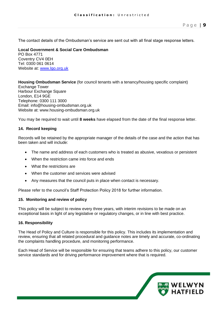The contact details of the Ombudsman's service are sent out with all final stage response letters.

#### **Local Government & Social Care Ombudsman**  Tel: 0300 061 0614 PO Box 4771 Coventry CV4 0EH Website at: [www.lgo.org.uk](http://www.lgo.org.uk/)

### **Housing Ombudsman Service** (for council tenants with a tenancy/housing specific complaint)

 Telephone: 0300 111 3000 Exchange Tower Harbour Exchange Square London, E14 9GE Email: info@housing-ombudsman.org.uk Website at: www.housing-ombudsman.org.uk

You may be required to wait until **8 weeks** have elapsed from the date of the final response letter.

#### <span id="page-9-0"></span>**14. Record keeping**

 Records will be retained by the appropriate manager of the details of the case and the action that has been taken and will include:

- The name and address of each customers who is treated as abusive, vexatious or persistent
- When the restriction came into force and ends
- What the restrictions are
- When the customer and services were advised
- Any measures that the council puts in place when contact is necessary.

Please refer to the council's Staff Protection Policy 2018 for further information.

#### <span id="page-9-1"></span>**15. Monitoring and review of policy**

 This policy will be subject to review every three years, with interim revisions to be made on an exceptional basis in light of any legislative or regulatory changes, or in line with best practice.

#### **16. Responsibility**

 The Head of Policy and Culture is responsible for this policy. This includes its implementation and review, ensuring that all related procedural and guidance notes are timely and accurate, co-ordinating the complaints handling procedure, and monitoring performance.

 Each Head of Service will be responsible for ensuring that teams adhere to this policy, our customer service standards and for driving performance improvement where that is required.

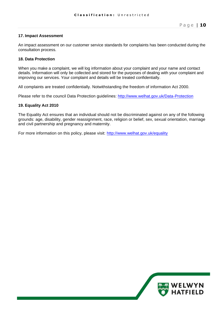#### **17. Impact Assessment**

 An impact assessment on our customer service standards for complaints has been conducted during the consultation process.

#### **18. Data Protection**

 When you make a complaint, we will log information about your complaint and your name and contact details. Information will only be collected and stored for the purposes of dealing with your complaint and improving our services. Your complaint and details will be treated confidentially.

All complaints are treated confidentially. Notwithstanding the freedom of information Act 2000.

Please refer to the council Data Protection guidelines: http://www.welhat.gov.uk/Data-Protection

#### **19. Equality Act 2010**

 The Equality Act ensures that an individual should not be discriminated against on any of the following grounds: age, disability, gender reassignment, race, religion or belief, sex, sexual orientation, marriage and civil partnership and pregnancy and maternity.

For more information on this policy, please visit: http://www.welhat.gov.uk/equality